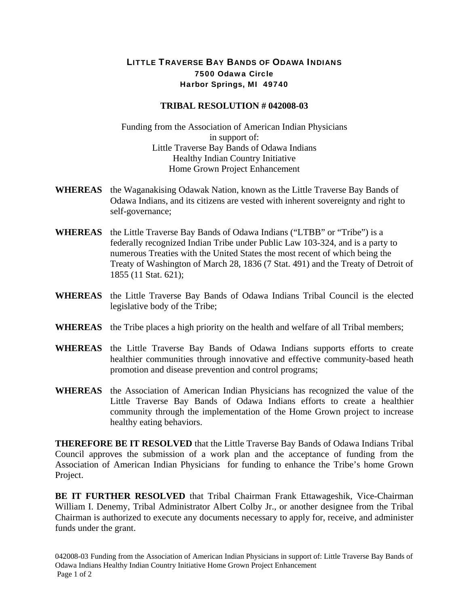## LITTLE TRAVERSE BAY BANDS OF ODAWA INDIANS 7500 Odawa Circle Harbor Springs, MI 49740

## **TRIBAL RESOLUTION # 042008-03**

Funding from the Association of American Indian Physicians in support of: Little Traverse Bay Bands of Odawa Indians Healthy Indian Country Initiative Home Grown Project Enhancement

- **WHEREAS** the Waganakising Odawak Nation, known as the Little Traverse Bay Bands of Odawa Indians, and its citizens are vested with inherent sovereignty and right to self-governance;
- **WHEREAS** the Little Traverse Bay Bands of Odawa Indians ("LTBB" or "Tribe") is a federally recognized Indian Tribe under Public Law 103-324, and is a party to numerous Treaties with the United States the most recent of which being the Treaty of Washington of March 28, 1836 (7 Stat. 491) and the Treaty of Detroit of 1855 (11 Stat. 621);
- **WHEREAS** the Little Traverse Bay Bands of Odawa Indians Tribal Council is the elected legislative body of the Tribe;
- **WHEREAS** the Tribe places a high priority on the health and welfare of all Tribal members;
- **WHEREAS** the Little Traverse Bay Bands of Odawa Indians supports efforts to create healthier communities through innovative and effective community-based heath promotion and disease prevention and control programs;
- **WHEREAS** the Association of American Indian Physicians has recognized the value of the Little Traverse Bay Bands of Odawa Indians efforts to create a healthier community through the implementation of the Home Grown project to increase healthy eating behaviors.

**THEREFORE BE IT RESOLVED** that the Little Traverse Bay Bands of Odawa Indians Tribal Council approves the submission of a work plan and the acceptance of funding from the Association of American Indian Physicians for funding to enhance the Tribe's home Grown Project.

**BE IT FURTHER RESOLVED** that Tribal Chairman Frank Ettawageshik, Vice-Chairman William I. Denemy, Tribal Administrator Albert Colby Jr., or another designee from the Tribal Chairman is authorized to execute any documents necessary to apply for, receive, and administer funds under the grant.